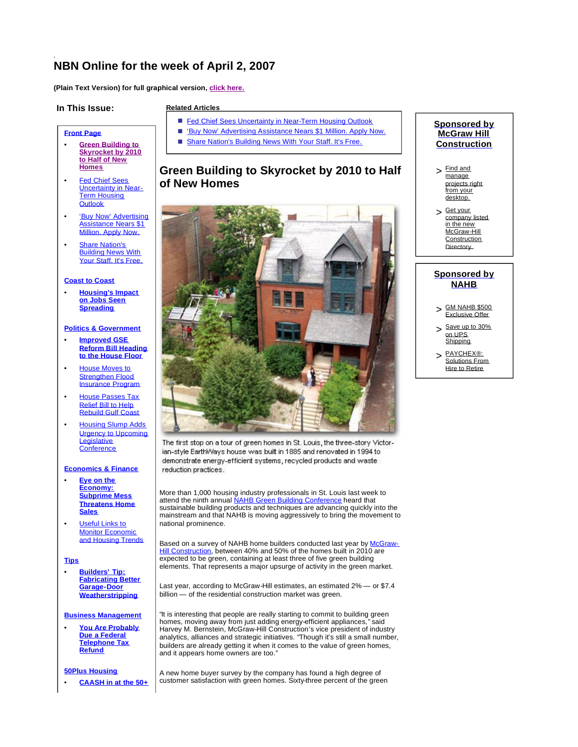# **NBN Online for the week of April 2, 2007**

**(Plain Text Version) for full graphical version, click here.**

### **In This Issue:**

**Front Page**

• **Green Building to Skyrocket by 2010 to Half of New Homes** • Fed Chief Sees Uncertainty in Near-Term Housing **Outlook** 

• 'Buy Now' Advertising **Assistance Nears \$1** Million. Apply Now. **Share Nation's Building News With** Your Staff. It's Free.

> • **Housing's Impact on Jobs Seen Spreading**

**Politics & Government** • **Improved GSE Reform Bill Heading to the House Floor House Moves to** Strengthen Flood Insurance Program • House Passes Tax Relief Bill to Help Rebuild Gulf Coast • Housing Slump Adds Urgency to Upcoming **Legislative Conference** 

**Coast to Coast**

#### **Related Articles**

- Fed Chief Sees Uncertainty in Near-Term Housing Outlook
- 'Buy Now' Advertising Assistance Nears \$1 Million. Apply Now.
- Share Nation's Building News With Your Staff. It's Free.

## **Green Building to Skyrocket by 2010 to Half of New Homes**



The first stop on a tour of green homes in St. Louis, the three-story Victorian-style EarthWays house was built in 1885 and renovated in 1994 to demonstrate energy-efficient systems, recycled products and waste reduction practices.

More than 1,000 housing industry professionals in St. Louis last week to attend the ninth annual NAHB Green Building Conference heard that sustainable building products and techniques are advancing quickly into the mainstream and that NAHB is moving aggressively to bring the movement to national prominence.

Based on a survey of NAHB home builders conducted last year by McGraw-Hill Construction, between 40% and 50% of the homes built in 2010 are expected to be green, containing at least three of five green building elements. That represents a major upsurge of activity in the green market.

Last year, according to McGraw-Hill estimates, an estimated 2% — or \$7.4 billion — of the residential construction market was green.

"It is interesting that people are really starting to commit to building green homes, moving away from just adding energy-efficient appliances," said Harvey M. Bernstein, McGraw-Hill Construction's vice president of industry analytics, alliances and strategic initiatives. "Though it's still a small number, builders are already getting it when it comes to the value of green homes, and it appears home owners are too."

#### A new home buyer survey by the company has found a high degree of customer satisfaction with green homes. Sixty-three percent of the green

## **Sponsored by McGraw Hill Construction**

- $>$   $\frac{Find \text{ and }}{200000}$ manage projects right from your desktop.
- $>$  Get your company listed in the new McGraw-Hill **Construction** Directory.

## **Sponsored by NAHB**

- > GM NAHB \$500 Exclusive Offer
- > Save up to 30% on UPS **Shipping**
- > PAYCHEX®: Solutions From Hire to Retire

**Tips**

**Sales** • Useful Links to Monitor Economic and Housing Trends

• **Builders' Tip: Fabricating Better Garage-Door Weatherstripping**

**Economics & Finance Eye on the Economy: Subprime Mess Threatens Home**

#### **Business Management**

• **You Are Probably Due a Federal Telephone Tax Refund**

#### **50Plus Housing**

• **CAASH in at the 50+**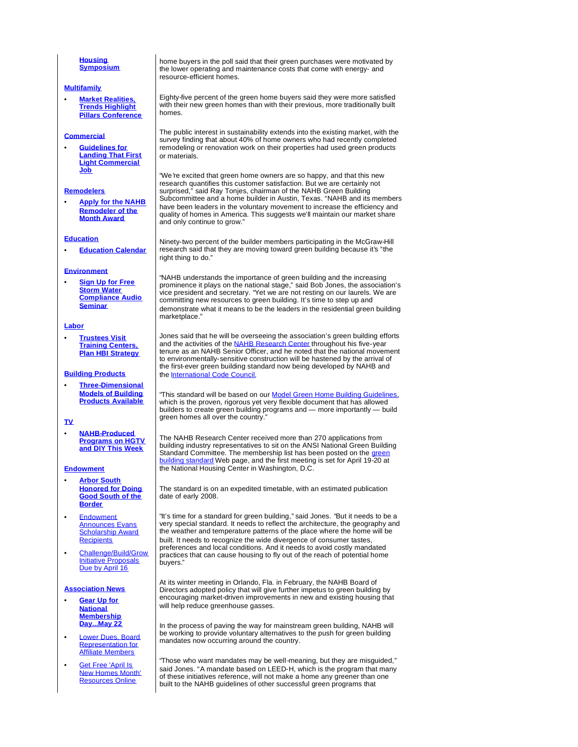#### **Housing Symposium**

#### **Multifamily**

• **Market Realities, Trends Highlight Pillars Conference**

#### **Commercial**

• **Guidelines for Landing That First Light Commercial Job**

#### **Remodelers**

• **Apply for the NAHB Remodeler of the Month Award**

#### **Education**

• **Education Calendar**

#### **Environment**

• **Sign Up for Free Storm Water Compliance Audio Seminar**

#### **Labor**

• **Trustees Visit Training Centers, Plan HBI Strategy**

#### **Building Products**

• **Three-Dimensional Models of Building Products Available**

#### **TV**

• **NAHB-Produced Programs on HGTV and DIY This Week**

#### **Endowment**

- **Arbor South Honored for Doing Good South of the Border**
- Endowment Announces Evans **Scholarship Award Recipients**
- Challenge/Build/Grow Initiative Proposals Due by April 16

#### **Association News**

- **Gear Up for National Membership Day...May 22**
- Lower Dues, Board Representation for Affiliate Members
- **Get Free 'April Is** New Homes Month' Resources Online

home buyers in the poll said that their green purchases were motivated by the lower operating and maintenance costs that come with energy- and resource-efficient homes.

Eighty-five percent of the green home buyers said they were more satisfied with their new green homes than with their previous, more traditionally built homes.

The public interest in sustainability extends into the existing market, with the survey finding that about 40% of home owners who had recently completed remodeling or renovation work on their properties had used green products or materials.

"We're excited that green home owners are so happy, and that this new research quantifies this customer satisfaction. But we are certainly not surprised," said Ray Tonjes, chairman of the NAHB Green Building Subcommittee and a home builder in Austin, Texas. "NAHB and its members have been leaders in the voluntary movement to increase the efficiency and quality of homes in America. This suggests we'll maintain our market share and only continue to grow."

Ninety-two percent of the builder members participating in the McGraw-Hill research said that they are moving toward green building because it's "the right thing to do."

"NAHB understands the importance of green building and the increasing prominence it plays on the national stage," said Bob Jones, the association's vice president and secretary. "Yet we are not resting on our laurels. We are committing new resources to green building. It's time to step up and demonstrate what it means to be the leaders in the residential green building marketplace."

Jones said that he will be overseeing the association's green building efforts and the activities of the NAHB Research Center throughout his five-year tenure as an NAHB Senior Officer, and he noted that the national movement to environmentally-sensitive construction will be hastened by the arrival of the first-ever green building standard now being developed by NAHB and the International Code Council.

"This standard will be based on our Model Green Home Building Guidelines. which is the proven, rigorous yet very flexible document that has allowed builders to create green building programs and — more importantly — build green homes all over the country.

The NAHB Research Center received more than 270 applications from building industry representatives to sit on the ANSI National Green Building Standard Committee. The membership list has been posted on the green building standard Web page, and the first meeting is set for April 19-20 at the National Housing Center in Washington, D.C.

The standard is on an expedited timetable, with an estimated publication date of early 2008.

"It's time for a standard for green building," said Jones. "But it needs to be a very special standard. It needs to reflect the architecture, the geography and the weather and temperature patterns of the place where the home will be built. It needs to recognize the wide divergence of consumer tastes, preferences and local conditions. And it needs to avoid costly mandated practices that can cause housing to fly out of the reach of potential home buyers."

At its winter meeting in Orlando, Fla. in February, the NAHB Board of Directors adopted policy that will give further impetus to green building by encouraging market-driven improvements in new and existing housing that will help reduce greenhouse gasses.

In the process of paving the way for mainstream green building, NAHB will be working to provide voluntary alternatives to the push for green building mandates now occurring around the country.

"Those who want mandates may be well-meaning, but they are misguided," said Jones. "A mandate based on LEED-H, which is the program that many of these initiatives reference, will not make a home any greener than one built to the NAHB guidelines of other successful green programs that